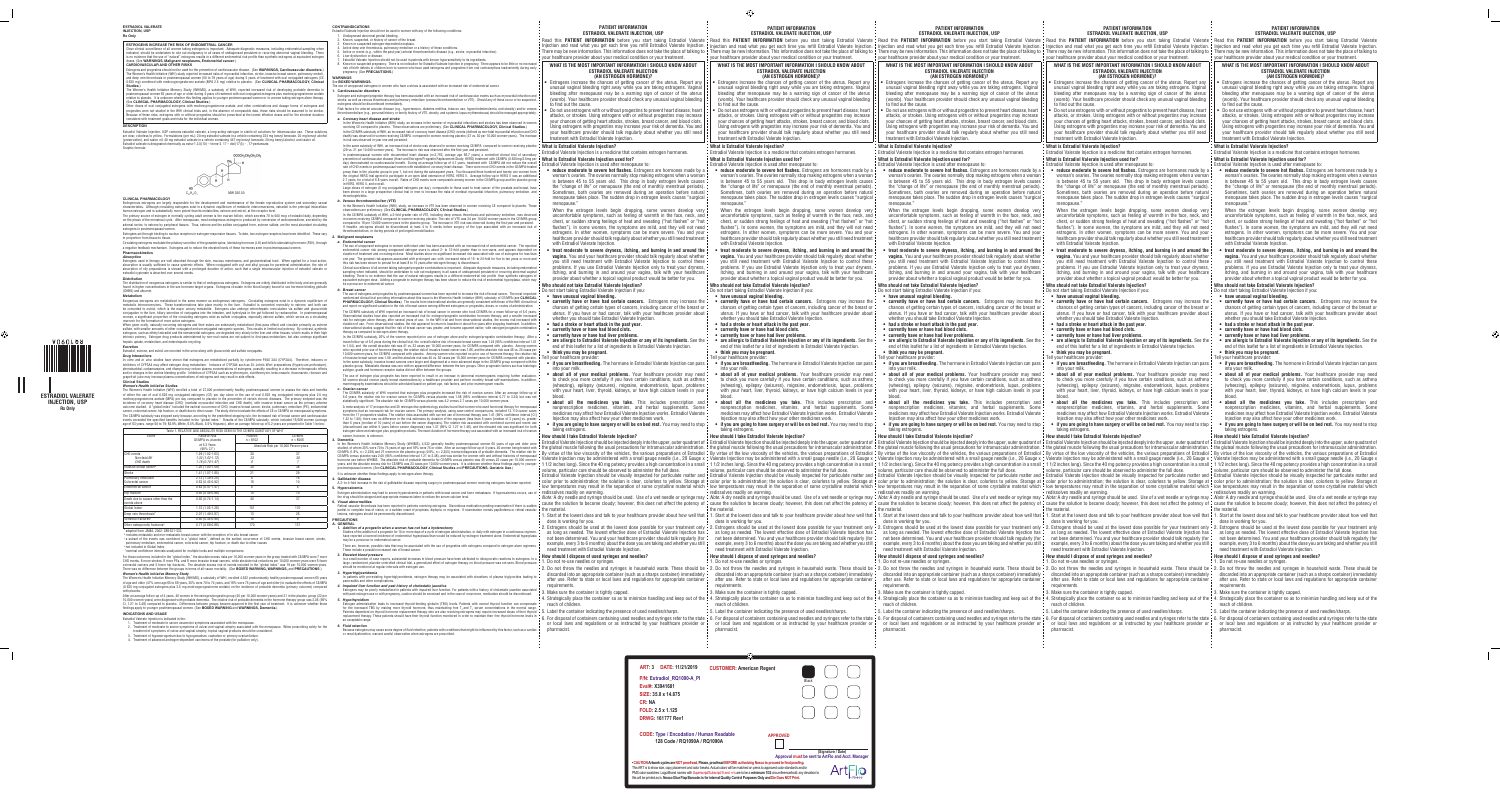#### **PATIENT INFORMATION ESTRADIOL VALERATE INJECTION, USP**

your healthcare provider about your medical condition or your treatment.

### **WHAT IS THE MOST IMPORTANT INFORMATION I SHOULD KNOW ABOUT ESTRADIOL VALERATE INJECTION (AN ESTROGEN HORMONE)?**

- Estrogens increase the chances of getting cancer of the uterus. Report any unusual vaginal bleeding right away while you are taking estrogens. Vaginal bleeding after menopause may be a warning sign of cancer of the uterus (womb). Your healthcare provider should check any unusual vaginal bleeding to find out the cause.
- attacks, or strokes. Using estrogens with or without progestins may increase your chances of getting heart attacks, strokes, breast cancer, and blood clots. Using estrogens with progestins may increase your risk of dementia. You and your healthcare provider should talk regularly about whether you still need treatment with Estradiol Valerate Injection.

Estradiol Valerate Injection is a medicine that contains estrogen hormones.

## **What is Estradiol Valerate Injection used for?**

- Estradiol Valerate Injection is used after menopause to: woman's ovaries. The ovaries normally stop making estrogens when a woman is between 45 to 55 years old. This drop in body estrogen levels causes the "change of life" or menopause (the end of monthly menstrual periods). Sometimes, both ovaries are removed during an operation before natural menopause takes place. The sudden drop in estrogen levels causes "surgical
- menopause." When the estrogen levels begin dropping, some women develop very uncomfortable symptoms, such as feeling of warmth in the face, neck, and chest, or sudden strong feelings of heat and sweating ("hot flashes" or "hot flushes"). In some women, the symptoms are mild, and they will not need estrogens. In other women, symptoms can be more severe. You and your healthcare provider should talk regularly about whether you still need treatment with Estradiol Valerate Injection.
- **treat moderate to severe dryness, itching, and burning in and around the vagina.** You and your healthcare provider should talk regularly about whether you still need treatment with Estradiol Valerate Injection to control these problems. If you use Estradiol Valerate Injection only to treat your dryness, itching, and burning in and around your vagina, talk with your healthcare provider about whether a topical vaginal product would be better for you.

#### **Who should not take Estradiol Valerate Injection?** Do not start taking Estradiol Valerate Injection if you:

woman's ovaries. The ovaries normally stop making estrogens when a woman is between 45 to 55 years old. This drop in body estrogen levels causes the "change of life" or menopause (the end of monthly menstrual periods). Sometimes, both ovaries are removed during an operation before natural menopause takes place. The sudden drop in estrogen levels causes "surgical | menopause.

- **• have unusual vaginal bleeding.**
- **currently have or have had certain cancers.** Estrogens may increase the chances of getting certain types of cancers, including cancer of the breast or uterus. If you have or had cancer, talk with your healthcare provider about whether you should take Estradiol Valerate Injection.
- **• had a stroke or heart attack in the past year. • currently have or have had blood clots.**
- **• currently have or have had liver problems.**
- **are allergic to Estradiol Valerate Injection or any of its ingredients.** See the end of this leaflet for a list of ingredients in Estradiol Valerate Injection.
- **• think you may be pregnant.**
- Tell your healthcare provide **• if you are breastfeeding.** The hormone in Estradiol Valerate Injection can pass into your milk.
- **about all of your medical problems.** Your healthcare provider may need to check you more carefully if you have certain conditions, such as asthma (wheezing), epilepsy (seizures), migraine, endometriosis, lupus, problems with your heart, liver, thyroid, kidneys, or have high calcium levels in your { blood.
- **about all the medicines you take.** This includes prescription and nonprescription medicines, vitamins, and herbal supplements. Some medicines may affect how Estradiol Valerate Injection works. Estradiol Valerate Injection may also affect how your other medicines work.
- **if you are going to have surgery or will be on bed rest.** You may need to stop taking estrogens.

When the estrogen levels begin dropping, some women develop very uncomfortable symptoms, such as feeling of warmth in the face, neck, and chest, or sudden strong feelings of heat and sweating ("hot flashes" or "hot flushes"). In some women, the symptoms are mild, and they will not need estrogens. In other women, symptoms can be more severe. You and your healthcare provider should talk regularly about whether you still need treatment with Estradiol Valerate Injection.

## **How should I take Estradiol Valerate Injection?**

By virtue of the low viscosity of the vehicles, the various preparations of Estradiol Valerate Injection may be administered with a small gauge needle (i.e., 20 Gauge x volume, particular care should be observed to administer the full dose.

redissolves readily on warming.

- 
- dose is working for you.
- need treatment with Estradiol Valerate Injection.

# **How should I dispose of used syringes and needles?**

# 1. Do not re-use needles or syringes.

- 2. Do not throw the needles and syringes in household waste. These should be 2. Do not throw the needles and syringes in household waste. These should be 2. Do not throw the needles and syringes in household waste. These s requirements.
- 3. Make sure the container is tightly capped.
- A. Strategically place the container so as to minimize handling and keep out of the ¦ 4. Strategically place the container so as to minimize handling and keep out of the ¦ 4. Strategically place the container so as to mini
- 

pharmacist.

### **PATIENT INFORMATION ESTRADIOL VALERATE INJECTION, USP**

- Estrogens increase the chances of getting cancer of the uterus. Report any unusual vaginal bleeding right away while you are taking estrogens. Vaginal bleeding after menopause may be a warning sign of cancer of the uterus (womb). Your healthcare provider should check any unusual vaginal bleeding to find out the cause.
- Do not use estrogens with or without progestins to prevent heart disease, heart attacks, or strokes. Using estrogens with or without progestins may increase your chances of getting heart attacks, strokes, breast cancer, and blood clots. Using estrogens with progestins may increase your risk of dementia. You and your healthcare provider should talk regularly about whether you still need treatment with Estradiol Valerate Injection.

your healthcare provider about your medical condition or your treatment.

#### **WHAT IS THE MOST IMPORTANT INFORMATION I SHOULD KNOW ABOUT ESTRADIOL VALERATE INJECTION (AN ESTROGEN HORMONE)?**

• reduce moderate to severe hot flashes. Estrogens are hormones made by a • • reduce moderate to severe hot flashes. Estrogens are hormones made by a • • reduce moderate to severe hot flashes. Estrogens are hormones made woman's ovaries. The ovaries normally stop making estrogens when a woman is between 45 to 55 years old. This drop in body estrogen levels causes the "change of life" or menopause (the end of monthly menstrual periods). Sometimes, both ovaries are removed during an operation before natural menopause takes place. The sudden drop in estrogen levels causes "surgical menopause."

When the estrogen levels begin dropping, some women develop very uncomfortable symptoms, such as feeling of warmth in the face, neck, and chest, or sudden strong feelings of heat and sweating ("hot flashes" or "hot flushes"). In some women, the symptoms are mild, and they will not need estrogens. In other women, symptoms can be more severe. You and your healthcare provider should talk regularly about whether you still need treatment with Estradiol Valerate Injection.

- Estrogens increase the chances of getting cancer of the uterus. Report any unusual vaginal bleeding right away while you are taking estrogens. Vaginal bleeding after menopause may be a warning sign of cancer of the uterus (womb). Your healthcare provider should check any unusual vaginal bleeding to find out the cause.
- Do not use estrogens with or without progestins to prevent heart disease, heart attacks, or strokes. Using estrogens with or without progestins may increase your chances of getting heart attacks, strokes, breast cancer, and blood clots. Using estrogens with progestins may increase your risk of dementia. You and your healthcare provider should talk regularly about whether you still need treatment with Estradiol Valerate Injection.

## **What is Estradiol Valerate Injection?**

Estradiol Valerate Injection is a medicine that contains estrogen hormones.

**What is Estradiol Valerate Injection used for?** Estradiol Valerate Injection is used after menopause to:

Bementia Ware of the University of the University of the University of the University of the University Personal Ware of the University Personal Ware of the University Personal Ware of the University Personal Ware of the U By virtue of the low viscosity of the vehicles, the various preparations of Estradiol Valerate Injection may be administered with a small gauge needle (i.e., 20 Gauge x volume, particular care should be observed to administer the full dose.

Estradiol Valerate Injection should be visually inspected for particulate matter and ¦ Estradiol Valerate Injection should be visually inspected for particulate matter and ¦ Estradiol Valerate Injection should be visually color prior to administration; the solution is clear, colorless to yellow. Storage at ¦ color prior to administration; the solution is clear, colorless to yellow. Storage at ¦ color prior to administration; the solution is bowww.constalline material which we separation of some crystalline material which y low temperatures may result in the separation of some crystalline material which y low temperatures may result in the separation of some c redissolves readily on warming.

Note: A dry needle and syringe should be used. Use of a wet needle or syringe may Mote: A dry needle and syringe should be used. Use of a wet needle or syringe should be used. Use of a wet needle or syringe may Mote: A dry cause the solution to become cloudy; however, this does not affect the potency of cause the solution to become cloudy; however, this does not affect the potency of cause the solution to become cloudy; however, this does no the material.

- 1. Start at the lowest dose and talk to your healthcare provider about how well that [1. Start at the lowest dose and talk to your healthcare provider about how well that [1. Start at the lowest dose and talk to your healt dose is working for you.
- 2. Estrogens should be used at the lowest dose possible for your treatment only 2. Estrogens should be used at the lowest dose possible for your treatment only 2. Estrogens should be used at the lowest dose possible for yo Example, every 3 to 6 months) about the dose you are taking and whether you still ; example, every 3 to 6 months) about the dose you are taking and whether you still ; example, every 3 to 6 months) about the dose you are t need treatment with Estradiol Valerate Injection.
	- **How should I dispose of used syringes and needles?**

**• treat moderate to severe dryness, itching, and burning in and around the vagina.** You and your healthcare provider should talk regularly about whether you still need treatment with Estradiol Valerate Injection to control these problems. If you use Estradiol Valerate Injection only to treat your dryness, itching, and burning in and around your vagina, talk with your healthcare provider about whether a topical vaginal product would be better for you.

#### **Who should not take Estradiol Valerate Injection?** Do not start taking Estradiol Valerate Injection if you:

#### WHAT IS THE MOST IMPORTANT INFORMATION I SHOULD KNOW ABOUT **ESTRADIOL VALERATE INJECTION (AN ESTROGEN HORMONE)?**

• Estrogens increase the chances of getting cancer of the uterus. Report any unusual vaginal bleeding right away while you are taking estrogens. Vaginal bleeding after menopause may be a warning sign of cancer of the uterus (womb). Your healthcare provider should check any unusual vaginal bleeding to find out the cause.

- **• have unusual vaginal bleeding.**
- **currently have or have had certain cancers.** Estrogens may increase the chances of getting certain types of cancers, including cancer of the breast or uterus. If you have or had cancer, talk with your healthcare provider about whether you should take Estradiol Valerate Injection.
- **• had a stroke or heart attack in the past year. • currently have or have had blood clots.**
- **• currently have or have had liver problems.**
- end of this leaflet for a list of ingredients in Estradiol Valerate Injection.
- **• think you may be pregnant.**
- Tell your healthcare provide
- **if you are breastfeeding.** The hormone in Estradiol Valerate Injection can pass • **if you are breastfeeding.** The hormone in Estradiol Valerate Injection can pass into your milk.
- **about all of your medical problems.** Your healthcare provider may need to check you more carefully if you have certain conditions, such as asthma (wheezing), epilepsy (seizures), migraine, endometriosis, lupus, problems with your heart, liver, thyroid, kidneys, or have high calcium levels in your blood.
- **about all the medicines you take.** This includes prescription and nonprescription medicines, vitamins, and herbal supplements. Some medicines may affect how Estradiol Valerate Injection works. Estradiol Valerate Injection may also affect how your other medicines work.
- **if you are going to have surgery or will be on bed rest.** You may need to stop  $\frac{1}{2}$ taking estrogens.

Sometimes, both ovaries are removed during an operation before natural menopause takes place. The sudden drop in estrogen levels causes "surgical | menopause."

When the estrogen levels begin dropping, some women develop very uncomfortable symptoms, such as feeling of warmth in the face, neck, and chest, or sudden strong feelings of heat and sweating ("hot flashes" or "hot flushes"). In some women, the symptoms are mild, and they will not need estrogens. In other women, symptoms can be more severe. You and your healthcare provider should talk regularly about whether you still need treatment with Estradiol Valerate Injection.

## **How should I take Estradiol Valerate Injection?**

By virtue of the low viscosity of the vehicles, the various preparations of Estradiol Valerate Injection may be administered with a small gauge needle (i.e., 20 Gauge x volume, particular care should be observed to administer the full dose.

**• if you are going to have surgery or will be on bed rest.** You may need to stop  $\frac{1}{2}$ taking estrogens.

redissolves readily on warming.

the material.

dose is working for you.

need treatment with Estradiol Valerate Injection.

## **How should I dispose of used syringes and needles?**

1. Do not re-use needles or syringes.

extee Inc. Depend this PATIENT INFORMATION before you start taking Estradiol Valerate ¦ Read this PATIENT INFORMATION before you start taking Estradiol Valerate ¦ Read this PATIENT INFORMATION before you start taking Estra Enjection and read what you get each time you refill Estradiol Valerate Injection. ¦ Injection and read what you get each time you refill Estradiol Valerate Injection. ¦ Injection and read what you get each time you refill Enterprol agap benew information. This information does not take the place of talking to { There may be new information. This information does not take the place of talking to { There may be new information does not take t your healthcare provider about your medical condition or your treatment.

#### WHAT IS THE MOST IMPORTANT INFORMATION I SHOULD KNOW AROUT **ESTRADIOL VALERATE INJECTION (AN ESTROGEN HORMONE)?**

#### **PATIENT INFORMATION ESTRADIOL VALERATE INJECTION, USP**

your healthcare provider about your medical condition or your treatment.

#### **WHAT IS THE MOST IMPORTANT INFORMATION I SHOULD KNOW ABOUT ESTRADIOL VALERATE INJECTION (AN ESTROGEN HORMONE)?**

## **What is Estradiol Valerate Injection?**

Estradiol Valerate Injection is a medicine that contains estrogen hormones. **What is Estradiol Valerate Injection used for?**

Estradiol Valerate Injection is used after menopause to:

- **currently have or have had certain cancers.** Estrogens may increase the • **currently have or have had certain cancers.** Estrogens may increase the chances of getting certain types of cancers, including cancer of the breast or uterus. If you have or had cancer, talk with your healthcare provider about whether you should take Estradiol Valerate Injection.
	- **• had a stroke or heart attack in the past year. • currently have or have had blood clots.**
	- **• currently have or have had liver problems.**
	- end of this leaflet for a list of ingredients in Estradiol Valerate Injection.
	- **• think you may be pregnant.** Tell your healthcare provider:
- **if you are breastfeeding.** The hormone in Estradiol Valerate Injection can pass • **if you are breastfeeding.** The hormone in Estradiol Valerate Injection can pass into your milk.
	- **about all of your medical problems.** Your healthcare provider may need to check you more carefully if you have certain conditions, such as asthma (wheezing), epilepsy (seizures), migraine, endometriosis, lupus, problems with your heart, liver, thyroid, kidneys, or have high calcium levels in your blood.
	- **about all the medicines you take.** This includes prescription and nonprescription medicines, vitamins, and herbal supplements. Some medicines may affect how Estradiol Valerate Injection works. Estradiol Valerate Injection may also affect how your other medicines work.
	- **if you are going to have surgery or will be on bed rest.** You may need to stop taking estrogens.

**• treat moderate to severe dryness, itching, and burning in and around the vagina.** You and your healthcare provider should talk regularly about whether you still need treatment with Estradiol Valerate Injection to control these problems. If you use Estradiol Valerate Injection only to treat your dryness, itching, and burning in and around your vagina, talk with your healthcare provider about whether a topical vaginal product would be better for you.

#### **Who should not take Estradiol Valerate Injection?** Do not start taking Estradiol Valerate Injection if you:

- discarded into an appropriate container (such as a sharps container) immediately discarded into an appropriate container (such as a sharps container) immediately discarded into an appropriate container (such as a sharps co after use. Refer to state or local laws and regulations for appropriate container after use. Refer to state or local laws and regulations for appropriate container after use. Refer to state or local laws and regulations fo requirements.
	- 3. Make sure the container is tightly capped.
	- reach of children.
	- 5. Label the container indicating the presence of used needles/sharps.
- 8. For disposal of containing used needles and syringes refer to the state if on animation monitored in order to maintain their free thyroid hormone levels in if cee thyroid hormone levels in if the the thyroid hormone lev or local laws and regulations or as instructed by your healthcare provider or or local laws and regulations or as instructed by your healthcare provider or or local laws and regulations or as instructed by your healthcare pharmacist.
- requirements. 3. Make sure the container is tightly capped.
- 3. Make sure the container is tightly capped.
- reach of children.
- 5. Label the container indicating the presence of used needles/sharps.
- pharmacist. 5. Label the container indicating the presence of used needles/sharps.

Estrogens and progestins should not be used for the prevention of cardiovascular disease. (See **WARNINGS, Cardiovascular disorders**.) he Women's Health Initiative (WHI) study reported increased risks of myocardial infarction, stroke, invasive breast cancer, pulmonary emboli, and deep vein thrombosis in postmenopausal women (50 to 79 years of age) during 5 years of treatment with oral conjugated estrogens (CE 0.625 mg) combined with medroxyprogesterone acetate (MPA 2.5 mg) relative to placebo. (See **CLINICAL PHARMACOLOGY, Clinical Studies**.)<br>The Women's Health Initiative Memory Study (WHIMS), a substudy of WHI, reported increased risk of developing probable dementia in

- **• have unusual vaginal bleeding.**
- **currently have or have had certain cancers.** Estrogens may increase the chances of getting certain types of cancers, including cancer of the breast or uterus. If you have or had cancer, talk with your healthcare provider about whether you should take Estradiol Valerate Injection.
- **• had a stroke or heart attack in the past year. • currently have or have had blood clots.**
- **• currently have or have had liver problems.**
- are allergic to Estradiol Valerate Injection or any of its ingredients. See the vere allergic to Estradiol Valerate Injection or any of its ingredients. See the vere allergic to Estradiol Valerate Injection or any of its end of this leaflet for a list of ingredients in Estradiol Valerate Injection.
	- **• think you may be pregnant.** Tell your healthcare provide
	-
	- into your milk. **• about all of your medical problems.** Your healthcare provider may need to check you more carefully if you have certain conditions, such as asthma (wheezing), epilepsy (seizures), migraine, endometriosis, lupus, problems with your heart, liver, thyroid, kidneys, or have high calcium levels in your blood.
	- **about all the medicines you take.** This includes prescription and nonprescription medicines, vitamins, and herbal supplements. Some medicines may affect how Estradiol Valerate Injection works. Estradiol Valerate Injection may also affect how your other medicines work.
	- **if you are going to have surgery or will be on bed rest.** You may need to stop taking estrogens.

Other doses of oral conjugated estrogens with medroxyprogesterone acetate, and other combinations and dosage forms of estrogens and<br>progestins were not studied in the WHI clinical trials and, in the absence of comparable d Because of these risks, estrogens with or without progestins should be prescribed at the lowest effective doses and for the shortest duration consistent with treatment goals and risks for the individual woman.

## **How should I take Estradiol Valerate Injection?**

Endogenous estrogens are largely responsible for the development and maintenance of the female reproductive system and secondary sexual<br>characteristics. Although circulating estrogens exist in a dynamic equilibrium of meta human estrogen and is substantially more potent than its metabolites, estrone and estriol, at the receptor level.

The distribution of exogenous estrogens is similar to that of endogenous estrogens. Estrogens are widely distributed in the body and are generally ntrations in the sex hormone target organs. Estrogens circulate in the blood largely bound to sex hormone binding globuli SHBG) and albumin.

1. Do not re-use needles or syringes.

requirements.

reach of children.

pharmacist.

### **PATIENT INFORMATION ESTRADIOL VALERATE INJECTION, USP**

The Women's Health Initiative (WHI) enrolled a total of 27,000 predominantly healthy postmenopausal women to assess the risks and benefits<br>of either the use of oral 0.625 mg conjugated estrogens (CE) per day alone or the u medroxyprogesterone acetate (MPA) per day compared to placebo in the prevention of certain chronic diseases. The primary endpoint was the incidence of coronary heart disease (CHD) (nonfatal myocardial infarction and CHD death), with invasive breast cancer as the primary adverse<br>outcome studied. A "global index" included the earliest occurrence of CHD, invasi cancer, colorectal cancer, hip fracture, or death due to other cause. The study did not evaluate the effects of CE or CE/MPA on menopausal symptoms. The CE/MPA substudy was stopped early because, according to the predefined stopping rule, the increased risk of breast cancer and cardiovascular

events exceeded the specified benefits included in the "global index." Results of the CE/MPA substudy, which included 16,608 women (average<br>age of 63 years, range 50 to 79; 83.9% White, 6.5% Black, 5.5% Hispanic), after an

your healthcare provider about your medical condition or your treatment.

b se<br>in breast cancer with the excention of in situ breast cancer .

c a subset of the events was combined in a "global index", defined as the earliest occurrence of CHD events, invasive breast cancer, stroke, y embolism, endometrial cancer, colorectal cancer, hip fracture, or death due to other causes

**•** Do not use estrogens with or without progestins to prevent heart disease, heart attacks, or strokes. Using estrogens with or without progestins may increase your chances of getting heart attacks, strokes, breast cancer, and blood clots. Using estrogens with progestins may increase your risk of dementia. You and your healthcare provider should talk regularly about whether you still need treatment with Estradiol Valerate Injection.

For those outcomes included in the "global index," the absolute excess risks per 10,000 women-years in the group treated with CE/MPA were 7 more CHD events, 8 more strokes, 8 more PEs, and 8 more invasive breast cancers, while absolute risk reductions per 10,000 women-years were 6 fewer<br>colorectal cancers and 5 fewer hip fractures. The absolute excess risk of event

## **What is Estradiol Valerate Injection?**

Estradiol Valerate Injection is a medicine that contains estrogen hormones.

### **What is Estradiol Valerate Injection used for?**

Estradiol Valerate Injection is used after menopause to:

woman's ovaries. The ovaries normally stop making estrogens when a woman is between 45 to 55 years old. This drop in body estrogen levels causes the "change of life" or menopause (the end of monthly menstrual periods).

**• treat moderate to severe dryness, itching, and burning in and around the vagina.** You and your healthcare provider should talk regularly about whether ! you still need treatment with Estradiol Valerate Injection to control these problems. If you use Estradiol Valerate Injection only to treat your dryness, itching, and burning in and around your vagina, talk with your healthcare provider about whether a topical vaginal product would be better for you.

- Known, suspected, or history of cancer of the breast.
- Known or suspected estrogen-dependent neoplasia
- 4. Active deep vein thrombosis, pulmonary embolism or a history of these conditions.
- Active or recent (e.g., within the past year) arterial thromboembolic disease (e.g., stroke, myocardial infarction)
- Liver dysfunction or disease. 7. Estradiol Valerate Injection should not be used in patients with known hypersensitivity to its ingredients.
- 8. Known or suspected pregnancy. There is no indication for Estradiol Valerate Injection in pregnancy. There appears to be little or no increased risk of birth defects in children born to women who have used estrogens and progestins from oral contraceptives inadvertently during early pregnancy. (See **PRECAUTIONS**.)

Estrogen and estrogen/progestin therapy has been associated with an increased risk of cardiovascular events such as myocardial infarction and<br>stroke, as well as venous thrombosis and pulmonary embolism (venous thromboembol estrogens should be discontinued immediately.

> **Who should not take Estradiol Valerate Injection?** Do not start taking Estradiol Valerate Injection if you:

## **• have unusual vaginal bleeding.**

Risk factors for a ground state of the state of the preferior diabetes mellitus, to bacco use, hyperchioles in dispersion and obesity) and/or venus in  $\bullet$  Do not use estrogens with or without progestins to prevent heart d hoolism (e.g., personal history or family history of VTE, obesity, and systemic lupus erythematosus) should be managed appropria *a. Coronary heart disease and stroke*

> chances of getting certain types of cancers, including cancer of the breast or uterus. If you have or had cancer, talk with your healthcare provider about whether you should take Estradiol Valerate Injection.

**• had a stroke or heart attack in the past year.**

- In the Women's Health Initiative (WHI) study, an increase in the number of myocardial infarctions and strokes has been observed in wom receiving CE compared to placebo. These observations are preliminary. (See **CLINICAL PHARMACOLOGY, Clinical Studies**.)
- In the CE/MPA substudy of WHI, an increased risk of coronary heart disease (CHD) events (defined as non-fatal myocardial infarction and CHD death) was observed in women receiving CE/MPA compared to women receiving placebo (37 vs. 30 per 10,000 women-years). The increase in risk was observed in year one and persisted.

**• currently have or have had blood clots.** 

In the same substudy of WHI, an increased risk of stroke was observed in women receiving CE/MPA compared to women receiving placebo **| What is Estradiol Valerate Injection?** (29 vs. 21 per 10,000 women-years). The increase in risk was observed after the first year and persisted.

> **• currently have or have had liver problems.** end of this leaflet for a list of ingredients in Estradiol Valerate Injection.

**• think you may be pregnant.**

ell your healthcare provider

into your milk.

**• about all of your medical problems.** Your healthcare provider may need to check you more carefully if you have certain conditions, such as asthma (wheezing), epilepsy (seizures), migraine, endometriosis, lupus, problems with your heart, liver, thyroid, kidneys, or have high calcium levels in your { blood.

In postmenopausal women with documented heart disease (n=2,763, average age 66.7 years) a controlled clinical trial of seconda prevention of cardiovascular disease (Heart and Estrogen/Progestin Replacement Study; HERS) treatment with CE/MPA (0.625mg/2.5mg per<br>day) demonstrated no cardiovascular benefit. During an average follow-up of 4.1 years, t rate of CHD events in postmenopausal women with established coronary heart disease. There were more CHD events in the CE/MPA-treated<br>group than in the placebo group in year 1, but not during the subsequent years. Two t 2.7 years, for a total of 6.8 years overall. Rates of CHD events were comparable among women in the CE/MPA group and the placebo group in HERS, HERS II, and overall.

> **• about all the medicines you take.** This includes prescription and nonprescription medicines, vitamins, and herbal supplements. Some medicines may affect how Estradiol Valerate Injection works. Estradiol Valerate Injection may also affect how your other medicines work.

### **How should I take Estradiol Valerate Injection?**

By virtue of the low viscosity of the vehicles, the various preparations of Estradiol Valerate Injection may be administered with a small gauge needle (i.e., 20 Gauge x volume, particular care should be observed to administer the full dose.

.<br>Clinical surveillance of all women taking estrogen/progestin combinations is important. Adequate diagnostic measures, including endom sampling when indicated, should be undertaken to rule out malignancy in all cases of undiagnosed persistent or recurring abnormal vaginal bleeding. There is no evidence that the use of natural estrogens results in a different endometrial risk profile than synthetic estrogens of uivalent estrogen dose. Adding a progestin to estrogen therapy has been shown to reduce the risk of endometrial hyperplasia, which n be a precursor to endometrial cancer.

redissolves readily on warming.

the material.

Se of estrogens and progestins by postmenopausal women has been reported to increase the risk of breast cancer. The most import randomized clinical trial providing information about this issue is the Women's Health Initiative (WHI) substudy of CE/MPA (see **CLINICAL PHARMACOLOGY, Clinical Studies**). The results from observational studies are generally consistent with those of the WHI clinical trial and report no significant variation in the risk of breast cancer among different estrogens or progestins, doses, or routes of administration.

The CE/MPA substudy of WHI reported an increased risk of breast cancer in women who took CE/MPA for a mean follow-up of 5.6 years. ervational studies have also reported an increased risk for estrogen/progestin combination hormone therapy, and a smaller increase risk for estrogen alone therapy, after several years of use. In the WHI trial and from observational studies, the excess risk increased with duration of use. From observational studies, the risk appeared to return to baseline in about five years after stopping treatment. In addition,<br>observational studies suggest that the risk of breast cancer was greater, and therapy as compared to estrogen alone therapy.

dose is working for you.

need treatment with Estradiol Valerate Injection.

## **How should I dispose of used syringes and needles?**

1. Do not re-use needles or syringes.

requirements.

3. Make sure the container is tightly capped.

In the CE/MPA substudy, 26% of the women reported prior use of estrogen alone and/or estrogen/progestin combination therapy. After a mean follow-up of 5.6 years during the clinical trial, the overall relative risk of invasive breast cancer was 1.24 (95% confidence interval 1.01<br>to 1.54), and the overall absolute risk was 41 vs. 33 cases per 10,000 wom o reported prior use of hormone therapy, the relative risk of invasive breast cancer was 1.86, and the absolute risk was 46 vs. 25 cases per 10,000 women-years, for CE/MPA compared with placebo. Among women who reported no prior use of hormone therapy, the relative risk<br>of invasive breast cancer was 1.09, and the absolute risk was 40 vs. 36 cases per 10,000 wo In the same substudy, invasive breast cancers were larger and diagnosed at a more advanced stage in the CE/MPA group compared with the<br>placebo group. Metastatic disease was rare with no apparent difference between the two subtype, grade and hormone receptor status did not differ between the groups.

reach of children.

5. Label the container indicating the presence of used needles/sharps.

pharmacist.

### **PATIENT INFORMATION ESTRADIOL VALERATE INJECTION, USP**

A meta-analysis of 17 prospective and 35 retrospective epidemiology studies found that women who used hormonal therapy for menop symptoms had an increased risk for ovarian cancer. The primary analysis, using case-control comparisons, included 12,110 cancer cases from the 17 prospective studies. The relative risks associated with current use of hormonal therapy was 1.41 (95% confidence interval [CI]<br>1.32 to 1.50); there was no difference in the risk estimates by duration of the exp than 5 years [median of 10 years] of use before the cancer diagnosis). The relative risk associated with combined current and recent use (discontinued use within 5 years before cancer diagnosis) was 1.37 (95% Cl 1.27 to 1.48), and the elevated risk was significant for both<br>estrogen-alone and estrogen plus progestin products. The exact duration of hormone th cancer, however, is unknown.

the gluteal muscle following the usual precautions for intramuscular administration. ithe gluteal muscle following the usual precautions for intramuscular administration. ithe gluteal muscle following the usual precautions 11/2 inches long). Since the 40 mg potency provides a high concentration in a small | 11/2 inches long). Since the 40 mg potency provides a high concentration in a small | 11/2 inches long). Since the 40 mg potency provide CE/MPA (1.8%, n = 2,229) and 21 women in the placebo group (0.9%, n = 2,303) received diagnoses of probable dementia. The relative risk for<br>CE/MPA versus placebo was 2.05 (95% confidence interval 1.21 to 3.48), and was sim postmenopausal women. (See **CLINICAL PHARMACOLOGY, Clinical Studies** and **PRECAUTIONS, Geriatric Use**.) It is unknown whether these findings apply to estrogen alone therapy.

- Estrogens increase the chances of getting cancer of the uterus. Report any unusual vaginal bleeding right away while you are taking estrogens. Vaginal bleeding after menopause may be a warning sign of cancer of the uterus (womb). Your healthcare provider should check any unusual vaginal bleeding to find out the cause.
- Do not use estrogens with or without progestins to prevent heart disease, heart attacks, or strokes. Using estrogens with or without progestins may increase your chances of getting heart attacks, strokes, breast cancer, and blood clots. Using estrogens with progestins may increase your risk of dementia. You and your healthcare provider should talk regularly about whether you still need treatment with Estradiol Valerate Injection.

## **What is Estradiol Valerate Injection?**

Estradiol Valerate Injection is a medicine that contains estrogen hormones.

**What is Estradiol Valerate Injection used for?**

#### the material or complete loss of vision, or a sudden onset of proptosis, diplopia, or migraine. If examination reveals papilledema or retinal vascular in the material. **6. Visual abnormalities** Retinal vascular thrombosis has been reported in patients receiving estrogens. Discontinue medication pending examination if there is sudden lesions, estrogens should be permanently discontinued.

Estradiol Valerate Injection is used after menopause to: woman's ovaries. The ovaries normally stop making estrogens when a woman is between 45 to 55 years old. This drop in body estrogen levels causes the "change of life" or menopause (the end of monthly menstrual periods). Sometimes, both ovaries are removed during an operation before natural menopause takes place. The sudden drop in estrogen levels causes "surgical

as long as needed. The lowest effective dose of Estradiol Valerate Injection has as long as needed. The lowest effective dose of Estradiol Valerate Injection has as long as needed. The lowest effective dose of Estradiol Va not been determined. You and your healthcare provider should talk regularly (for indiver and your healthcare provider should talk regularly (for in the mot been determined. You and your healthcare provider should talk regu may be a precursor to endometrial cancer.

There are, however, possible risks that may be associat These include a possible increased risk of breast cancer. *2. Elevated blood pressure*

menopause."

nall number of case reports, substantial increases in blood pressure have been attributed to idiosyncratic reactions to estrogens. In large, randomized, placebo-controlled clinical trial, a generalized effect of estrogen therapy on blood pressure was not seen. Blood pressure should be monitored at regular intervals with estrogen use.

- In patients with pre-existing hypertriglyceridemia, estrogen therapy may be associated with elevations of plasma triglycerides leading to pancreatitis and other complications.
- *4. Impaired liver function and past history of cholestatic jaundice*
- gens may be poorly metabolized in patients with impaired liver function. For patients with a history of cholestatic jaundice associated with past estrogen use or with pregnancy, caution should be exercised and in the case of recurrence, medication should be discontinued.
- reach of children. *5. Hypothyroidism* Estrogen administration leads to increased thyroid-binding globulin (TBG) levels. Patients with normal thyroid function can compensate for the increased TBG by making more thyroid hormone, thus maintaining free T<sub>4</sub> and T<sub>3</sub> serum concentrations in the normal range. ¦<br>Patients dependent on thyroid hormone replacement therapy who are also receiving estroge

When the estrogen levels begin dropping, some women develop very uncomfortable symptoms, such as feeling of warmth in the face, neck, and chest, or sudden strong feelings of heat and sweating ("hot flashes" or "hot flushes"). In some women, the symptoms are mild, and they will not need estrogens. In other women, symptoms can be more severe. You and your healthcare provider should talk regularly about whether you still need treatment with Estradiol Valerate Injection.

**• treat moderate to severe dryness, itching, and burning in and around the vagina.** You and your healthcare provider should talk regularly about whether you still need treatment with Estradiol Valerate Injection to control these problems. If you use Estradiol Valerate Injection only to treat your dryness, itching, and burning in and around your vagina, talk with your healthcare provider about whether a topical vaginal product would be better for you.

Because estrogens may cause some degree of fluid retention, patients with conditions that might be influenced by this factor, such as a cardiac i or renal dysfunction, warrant careful observation when estrogens are prescribed.



## **Who should not take Estradiol Valerate Injection?**

Do not start taking Estradiol Valerate Injection if you: **• have unusual vaginal bleeding.**

### **How should I take Estradiol Valerate Injection?**

By virtue of the low viscosity of the vehicles, the various preparations of Estradiol Valerate Injection may be administered with a small gauge needle (i.e., 20 Gauge x volume, particular care should be observed to administer the full dose.

redissolves readily on warming.

the material. **the material** 

- dose is working for you.
- need treatment with Estradiol Valerate Injection.
- **How should I dispose of used syringes and needles?**

### 1. Do not re-use needles or syringes.

**ESTROGENS INCREASE THE RISK OF ENDOMETRIAL CANCER** ise clinical surveillance of all women taking estrogens is important. Adequate diagnostic measures, including endometrial sampling whe indicated, should be undertaken to rule out malignancy in all cases of undiagnosed persistent or recurring abnormal vaginal bleeding. There is no evidence that the use of "natural" estrogens results in a different endometrial risk profile than synthetic estrogens at equivalent estrogen doses. (See **WARNINGS, Malignant neoplasms,** *Endometrial cancer*.) **CARDIOVASCULAR AND OTHER RISKS**

postmenopausal women 65 years of age or older during 4 years of treatment with oral conjugated estrogens plus medroxyprogesterone acetate relative to placebo. It is unknown whether this finding applies to younger postmenopausal women or to women taking estrogen alone therapy. (See **CLINICAL PHARMACOLOGY, Clinical Studies**.)

#### **DESCRIPTION**

Estradiol Valerate Injection, USP contains estradiol valerate, a long-acting estrogen in sterile oil solutions for intramuscular use. These solutions are clear, colorless to yellow. Formulations (per mL): 20 mg estradiol valerate in a vehicle containing 224 mg benzyl benzoate, 20 mg benzyl alcohol<br>(preservative), and castor oil; 40 mg estradiol valerate in a vehicle con Estradiol valerate is designated chemically as estra-1,3,5(10) – triene-3, 17 – diol(17 β) - , 17-pentanoate. Graphic formula:

OCOCH<sub>2</sub>CH<sub>2</sub>CH<sub>2</sub>CH<sub>2</sub>

#### $C_{23}H_{32}O_3$  MW 356.50

#### **CLINICAL PHARMACOLOGY**

The primary source of estrogen in normally cycling adult women is the ovarian follicle, which secretes 70 to 500 mcg of estradiol daily, depending on the phase of the menstrual cycle. After menopause, most endogenous estrogen is produced by conversion of androstenedione, secreted by the<br>adrenal cortex, to estrone by peripheral tissues. Thus, estrone and the sulfate c estrogens in postmenopausal women.

Estrogens act through binding to nuclear receptors in estrogen-responsive tissues. To date, two estrogen receptors have been identified. These vary in proportion from tissue to tissue.

Circulating estrogens modulate the pituitary secretion of the gonadotropins, luteinizing hormone (LH) and follicle stimulating hormone (FSH), through a negative feedback mechanism. Estrogens act to reduce the elevated levels of these hormones seen in postmenopausal women. **Pharmacokinetics** 

*Absorption* Estrogens used in therapy are well absorbed through the skin, mucous membranes, and gastrointestinal tract. When applied for a local action, absorption is usually sufficient to cause systemic effects. When conjugated with aryl and alkyl groups for parenteral administration, the rate of absorption of oily preparations is slowed with a prolonged duration of action, such that a single intramuscular injection of estradiol valerate or estradiol cypionate is absorbed over several weeks.

#### *Distribution*

#### *Metabolism*

Exogenous estrogens are metabolized in the same manner as endogenous estrogens. Circulating estrogens exist in a dynamic equilibrium of metabolic interconversions. These transformations take place mainly in the liver. Estradiol is converted reversibly to estrone, and both can<br>be converted to estriol, which is the major urinary metabolite. Estrogens also conjugation in the liver, biliary secretion of conjugates into the intestine, and hydrolysis in the gut followed by reabsorption. In postmenopausa omen, a significant proportion of the circulating estrogens exist as sulfate conjugates, especially estrone sulfate, which serves as a circulating reservoir for the formation of more active estrogens.

When given orally, naturally-occurring estrogens and their esters are extensively metabolized (first pass effect) and circulate primarily as estrone sulfate, with smaller amounts of other conjugated and unconjugated estrogenic species. This results in limited oral potency. By contrast, syntheti estrogens, such as ethinyl estradiol and the nonsteroidal estrogens, are degraded very slowly in the liver and other tissues, which results in their high intrinsic potency. Estrogen drug products administered by non-oral routes are not subject to first-pass metabolism, but also undergo significant hepatic uptake, metabolism, and enterohepatic recycling.

## *Excretion* Estradiol, estrone, and estriol are excreted in the urine along with glucuronide and sulfate conjugates.

*Drug Interactions*

*In vitro* and *in vivo* studies have shown that estrogens are metabolized partially by cytochrome P450 3A4 (CYP3A4). Therefore, inducers or inhibitors of CYP3A4 may affect estrogen drug metabolism. Inducers of CYP3A4 such as St. John's Wort preparations (Hypericum perforatum), phenobarbital, carbamazepine, and rifampin may reduce plasma concentrations of estrogens, possibly resulting in a decrease in therapeutic effects and/or changes in the uterine bleeding profile. Inhibitors of CYP3A4 such as erythromycin, clarithromycin, ketoconazole, itraconazole, ritonavir and grapefruit juice may increase plasma concentrations of estrogens and may result in side effects.

## **Clinical Studies** *Women's Health Initiative Studies*

| Table 1. RELATIVE AND ABSOLUTE RISK SEEN IN THE CE/MPA SUBSTUDY OF WHI <sup>a</sup> |                                                                |                       |                                       |  |  |
|-------------------------------------------------------------------------------------|----------------------------------------------------------------|-----------------------|---------------------------------------|--|--|
| Event <sup>c</sup>                                                                  | <b>Relative Risk</b><br>CE/MPA vs. placebo<br>at 5.2 Years     | Placebo<br>$n = 8102$ | CE/MPA<br>$n = 8506$                  |  |  |
|                                                                                     | (95% CI*)                                                      |                       | Absolute Risk per 10,000 Person-years |  |  |
| CHD events<br>Non-fatal MI<br>CHD death                                             | 1.29 (1.02-1.63)<br>$1.32(1.02 - 1.72)$<br>$1.18(0.70 - 1.97)$ | 30<br>23<br>6         | 37<br>30                              |  |  |
| Invasive breast cancer <sup>b</sup>                                                 | 1.26 (1.00-1.59)                                               | 30                    | 38                                    |  |  |
| Stroke                                                                              | 1.41 (1.07-1.85)                                               | 21                    | 29                                    |  |  |
| Pulmonary embolism<br>Colorectal cancer                                             | 2.13 (1.39-3.25)<br>$0.63(0.43-0.92)$                          | 8<br>16               | 16<br>10                              |  |  |
| Endometrial cancer                                                                  | $0.83(0.47 - 1.47)$                                            | 6                     | 5                                     |  |  |
| Hip fracture                                                                        | $0.66(0.45-0.98)$                                              | 15                    | 10                                    |  |  |
| Death due to causes other than the<br>events above                                  | $0.92(0.74 - 1.14)$                                            | 40                    | 37                                    |  |  |
| Global Index <sup>c</sup>                                                           | $1.15(1.03-1.28)$                                              | 151                   | 170                                   |  |  |
| Deep vein thrombosis <sup>d</sup>                                                   | 2.07 (1.49-2.87)                                               | 13                    | 26                                    |  |  |
| Vertebral fractures <sup>d</sup>                                                    | $0.66(0.44-0.98)$                                              | 15                    | 9                                     |  |  |
| Other osteoporotic fractures <sup>d</sup>                                           | $0.77(0.69-0.86)$                                              | 170                   | 131                                   |  |  |

a adapted from JAMA, 2002; 288:321-333

d not included in Global Index \*nominal confidence intervals unadjusted for multiple looks and multiple comparisons

### *Women's Health Initiative Memory Study*

The Women's Health Initiative Memory Study (WHIMS), a substudy of WHI, enrolled 4,532 predominantly healthy postmenopausal women 65 years of age and older (47% were age 65 to 69 years, 35% were 70 to 74 years, and 18% were 75 years of age and older) to evaluate the effects of CE/MPA (0.625 mg conjugated estrogens plus 2.5 mg medroxyprogesterone acetate) on the incidence of probable dementia (primary outcome) compared with placebo.

After an average follow-up of 4 years, 40 women in the estrogen/progestin group (45 per 10,000 women-years) and 21 in the placebo group (22 per 10,000 women-years) were diagnosed with probable dementia. The relative risk of probable dementia in the hormone therapy group was 2.05 (95% CI, 1.21 to 3.48) compared to placebo. Differences between groups became apparent in the first year of treatment. It is unknown whether these findings apply to younger postmenopausal women. (See **BOXED WARNING** and **WARNINGS, Dementia**.)

### **INDICATIONS AND USAGE**

- Estradiol Valerate Injection is indicated in the:
- 1. Treatment of moderate to severe vasomotor symptoms associated with the menopause.
- 2. Treatment of moderate to severe symptoms of vulvar and vaginal atrophy associated with the menopause. When prescribing solely for the treatment of symptoms of vulvar and vaginal atrophy, topical vaginal products should be considered.
- 3. Treatment of hypoestrogenism due to hypogonadism, castration or primary ovarian failure. 4. Treatment of advanced androgen-dependent carcinoma of the prostate (for palliation only).

#### **CONTRAINDICATIONS**

Estradiol Valerate Injection should not be used in women with any of the following conditions: 1. Undiagnosed abnormal genital bleeding.

#### **WARNINGS**

### See **BOXED WARNING**

The use of unopposed estrogens in women who have a uterus is associated with an increased risk of endometrial cancer. **1. Cardiovascular disorders**

Large doses of estrogen (5 mg conjugated estrogens per day), comparable to those used to treat cancer of the prostate and breast, have been shown in a large prospective clinical trial in men to increase the risks of nonfatal myocardial infarction, pulmonary embolism, and thrombophlebitis.

*b. Venous thromboembolism (VTE)* In the Women's Health Initiative (WHI) study, an increase in VTE has been observed in women receiving CE compared to placebo. These observations are preliminary. (See **CLINICAL PHARMACOLOGY, Clinical Studies**.)

In the CE/MPA substudy of WHI, a 2-fold greater rate of VTE, including deep venous thrombosis and pulmonary embolism, was observed in the CE/MPA compared to women receiving placebo. The rate of VTE was 34 per 10,000 women-years in the CE/MPA group  $\frac{1}{2}$ compared to 16 per 10,000 women-years in the placebo group. The increase in VTE risk was observed during the first year and persisted. feasible, estrogens should be discontinued at least 4 to 6 weeks before surgery of the type associated with an increased risk of omboembolism, or during periods of prolonged immobilization.

#### **2. Malignant neoplasms** *a. Endometrial cancer*

The use of unopposed estrogens in women with intact uteri has been associated with an increased risk of endometrial cancer. The reported endometrial cancer risk among unopposed estrogen users is about 2- to 12-fold greater than in non-users, and appears dependent on duration of treatment and on estrogen dose. Most studies show no significant increased risk associated with use of estrogens for less than one year. The greatest risk appears associated with prolonged use, with increased risks of 15- to 24-fold for five to ten years or more and this risk has been shown to persist for at least 8 to 15 years after estrogen therapy is discontinued.

#### *b. Breast cancer*

The use of estrogen plus progestin has been reported to result in an increase in abnormal mammograms requiring further evaluation. All women should receive yearly breast examinations by a healthcare provider and perform monthly breast self-examinations. In addition, mammography examinations should be scheduled based on patient age, risk factors, and prior mammogram results.

*c. Ovarian cancer* The CE/MPA substudy of WHI reported that estrogen plus progestin increased the risk of ovarian cancer. After an average follow-up of 5.6 years, the relative risk for ovarian cancer for CE/MPA versus placebo was 1.58 (95% confidence interval 0.77 to 3.24) but was not statistically significant. The absolute risk for CE/MPA versus placebo was 4.2 versus 2.7 cases per 10,000 women-years.

#### **4. Gallbladder disease**

- A 2- to 4-fold increase in the risk of gallbladder disease requiring surgery in postmenopausal women receiving estrogens has been reported. **5. Hypercalcemia**
- ma<br>nistration mav lead to severe hvpercalcemia in natients with breast cancer and bone metastases. If hypercalcemia occurs, use o the drug should be stopped and appropriate measures taken to reduce the serum calcium level.

#### **PRECAUTIONS A. GENERAL**

#### *1. Addition of a progestin when a woman has not had a hysterectomy*

#### *3. Hypertriglyceridemia*

#### an acceptable range. *6. Fluid retention*

**ESTRADIOL VALERATE INJECTION, USP Rx Only**